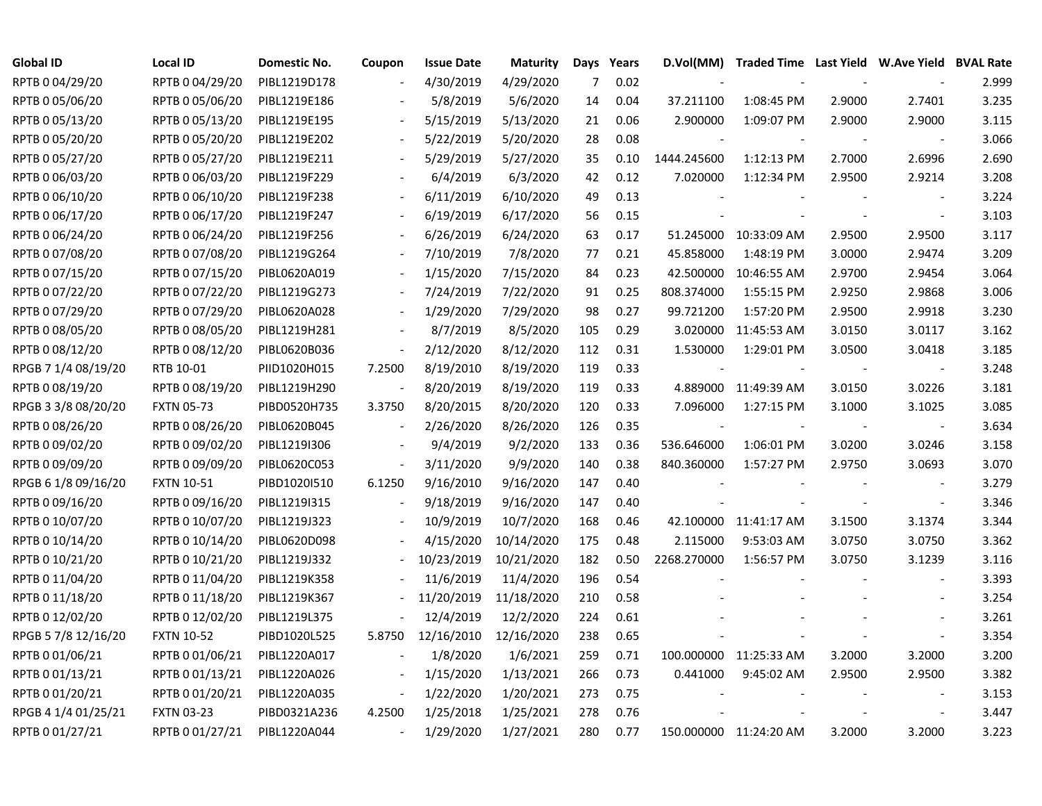| <b>Global ID</b>    | <b>Local ID</b>   | Domestic No. | Coupon                   | <b>Issue Date</b> | <b>Maturity</b> |     | Days Years | D.Vol(MM)   |                        |        | Traded Time Last Yield W.Ave Yield BVAL Rate |       |
|---------------------|-------------------|--------------|--------------------------|-------------------|-----------------|-----|------------|-------------|------------------------|--------|----------------------------------------------|-------|
| RPTB 0 04/29/20     | RPTB 0 04/29/20   | PIBL1219D178 |                          | 4/30/2019         | 4/29/2020       | 7   | 0.02       |             |                        |        |                                              | 2.999 |
| RPTB 0 05/06/20     | RPTB 0 05/06/20   | PIBL1219E186 |                          | 5/8/2019          | 5/6/2020        | 14  | 0.04       | 37.211100   | 1:08:45 PM             | 2.9000 | 2.7401                                       | 3.235 |
| RPTB 0 05/13/20     | RPTB 0 05/13/20   | PIBL1219E195 |                          | 5/15/2019         | 5/13/2020       | 21  | 0.06       | 2.900000    | 1:09:07 PM             | 2.9000 | 2.9000                                       | 3.115 |
| RPTB 0 05/20/20     | RPTB 0 05/20/20   | PIBL1219E202 | $\overline{\phantom{a}}$ | 5/22/2019         | 5/20/2020       | 28  | 0.08       |             |                        |        | $\overline{\phantom{a}}$                     | 3.066 |
| RPTB 0 05/27/20     | RPTB 0 05/27/20   | PIBL1219E211 | $\overline{\phantom{a}}$ | 5/29/2019         | 5/27/2020       | 35  | 0.10       | 1444.245600 | 1:12:13 PM             | 2.7000 | 2.6996                                       | 2.690 |
| RPTB 0 06/03/20     | RPTB 0 06/03/20   | PIBL1219F229 | $\overline{\phantom{a}}$ | 6/4/2019          | 6/3/2020        | 42  | 0.12       | 7.020000    | 1:12:34 PM             | 2.9500 | 2.9214                                       | 3.208 |
| RPTB 0 06/10/20     | RPTB 0 06/10/20   | PIBL1219F238 | $\overline{\phantom{a}}$ | 6/11/2019         | 6/10/2020       | 49  | 0.13       |             |                        |        | $\overline{\phantom{a}}$                     | 3.224 |
| RPTB 0 06/17/20     | RPTB 0 06/17/20   | PIBL1219F247 |                          | 6/19/2019         | 6/17/2020       | 56  | 0.15       |             |                        |        | $\overline{\phantom{a}}$                     | 3.103 |
| RPTB 0 06/24/20     | RPTB 0 06/24/20   | PIBL1219F256 |                          | 6/26/2019         | 6/24/2020       | 63  | 0.17       |             | 51.245000 10:33:09 AM  | 2.9500 | 2.9500                                       | 3.117 |
| RPTB 0 07/08/20     | RPTB 0 07/08/20   | PIBL1219G264 |                          | 7/10/2019         | 7/8/2020        | 77  | 0.21       | 45.858000   | 1:48:19 PM             | 3.0000 | 2.9474                                       | 3.209 |
| RPTB 0 07/15/20     | RPTB 0 07/15/20   | PIBL0620A019 |                          | 1/15/2020         | 7/15/2020       | 84  | 0.23       | 42.500000   | 10:46:55 AM            | 2.9700 | 2.9454                                       | 3.064 |
| RPTB 0 07/22/20     | RPTB 0 07/22/20   | PIBL1219G273 |                          | 7/24/2019         | 7/22/2020       | 91  | 0.25       | 808.374000  | 1:55:15 PM             | 2.9250 | 2.9868                                       | 3.006 |
| RPTB 0 07/29/20     | RPTB 0 07/29/20   | PIBL0620A028 |                          | 1/29/2020         | 7/29/2020       | 98  | 0.27       | 99.721200   | 1:57:20 PM             | 2.9500 | 2.9918                                       | 3.230 |
| RPTB 0 08/05/20     | RPTB 0 08/05/20   | PIBL1219H281 |                          | 8/7/2019          | 8/5/2020        | 105 | 0.29       | 3.020000    | 11:45:53 AM            | 3.0150 | 3.0117                                       | 3.162 |
| RPTB 0 08/12/20     | RPTB 0 08/12/20   | PIBL0620B036 |                          | 2/12/2020         | 8/12/2020       | 112 | 0.31       | 1.530000    | 1:29:01 PM             | 3.0500 | 3.0418                                       | 3.185 |
| RPGB 7 1/4 08/19/20 | RTB 10-01         | PIID1020H015 | 7.2500                   | 8/19/2010         | 8/19/2020       | 119 | 0.33       |             |                        |        |                                              | 3.248 |
| RPTB 0 08/19/20     | RPTB 0 08/19/20   | PIBL1219H290 |                          | 8/20/2019         | 8/19/2020       | 119 | 0.33       |             | 4.889000 11:49:39 AM   | 3.0150 | 3.0226                                       | 3.181 |
| RPGB 3 3/8 08/20/20 | <b>FXTN 05-73</b> | PIBD0520H735 | 3.3750                   | 8/20/2015         | 8/20/2020       | 120 | 0.33       | 7.096000    | 1:27:15 PM             | 3.1000 | 3.1025                                       | 3.085 |
| RPTB 0 08/26/20     | RPTB 0 08/26/20   | PIBL0620B045 | $\overline{\phantom{a}}$ | 2/26/2020         | 8/26/2020       | 126 | 0.35       |             |                        |        |                                              | 3.634 |
| RPTB 0 09/02/20     | RPTB 0 09/02/20   | PIBL1219I306 | $\blacksquare$           | 9/4/2019          | 9/2/2020        | 133 | 0.36       | 536.646000  | 1:06:01 PM             | 3.0200 | 3.0246                                       | 3.158 |
| RPTB 0 09/09/20     | RPTB 0 09/09/20   | PIBL0620C053 | $\blacksquare$           | 3/11/2020         | 9/9/2020        | 140 | 0.38       | 840.360000  | 1:57:27 PM             | 2.9750 | 3.0693                                       | 3.070 |
| RPGB 6 1/8 09/16/20 | <b>FXTN 10-51</b> | PIBD1020I510 | 6.1250                   | 9/16/2010         | 9/16/2020       | 147 | 0.40       |             |                        |        | $\blacksquare$                               | 3.279 |
| RPTB 0 09/16/20     | RPTB 0 09/16/20   | PIBL1219I315 |                          | 9/18/2019         | 9/16/2020       | 147 | 0.40       |             |                        |        | $\overline{\phantom{a}}$                     | 3.346 |
| RPTB 0 10/07/20     | RPTB 0 10/07/20   | PIBL1219J323 |                          | 10/9/2019         | 10/7/2020       | 168 | 0.46       |             | 42.100000 11:41:17 AM  | 3.1500 | 3.1374                                       | 3.344 |
| RPTB 0 10/14/20     | RPTB 0 10/14/20   | PIBL0620D098 |                          | 4/15/2020         | 10/14/2020      | 175 | 0.48       | 2.115000    | 9:53:03 AM             | 3.0750 | 3.0750                                       | 3.362 |
| RPTB 0 10/21/20     | RPTB 0 10/21/20   | PIBL1219J332 |                          | 10/23/2019        | 10/21/2020      | 182 | 0.50       | 2268.270000 | 1:56:57 PM             | 3.0750 | 3.1239                                       | 3.116 |
| RPTB 0 11/04/20     | RPTB 0 11/04/20   | PIBL1219K358 |                          | 11/6/2019         | 11/4/2020       | 196 | 0.54       |             |                        |        |                                              | 3.393 |
| RPTB 0 11/18/20     | RPTB 0 11/18/20   | PIBL1219K367 |                          | 11/20/2019        | 11/18/2020      | 210 | 0.58       |             |                        |        |                                              | 3.254 |
| RPTB 0 12/02/20     | RPTB 0 12/02/20   | PIBL1219L375 |                          | 12/4/2019         | 12/2/2020       | 224 | 0.61       |             |                        |        |                                              | 3.261 |
| RPGB 5 7/8 12/16/20 | <b>FXTN 10-52</b> | PIBD1020L525 | 5.8750                   | 12/16/2010        | 12/16/2020      | 238 | 0.65       |             |                        |        | $\overline{\phantom{a}}$                     | 3.354 |
| RPTB 0 01/06/21     | RPTB 0 01/06/21   | PIBL1220A017 |                          | 1/8/2020          | 1/6/2021        | 259 | 0.71       |             | 100.000000 11:25:33 AM | 3.2000 | 3.2000                                       | 3.200 |
| RPTB 0 01/13/21     | RPTB 0 01/13/21   | PIBL1220A026 | $\overline{\phantom{a}}$ | 1/15/2020         | 1/13/2021       | 266 | 0.73       | 0.441000    | 9:45:02 AM             | 2.9500 | 2.9500                                       | 3.382 |
| RPTB 0 01/20/21     | RPTB 0 01/20/21   | PIBL1220A035 | $\overline{\phantom{a}}$ | 1/22/2020         | 1/20/2021       | 273 | 0.75       |             |                        |        |                                              | 3.153 |
| RPGB 4 1/4 01/25/21 | <b>FXTN 03-23</b> | PIBD0321A236 | 4.2500                   | 1/25/2018         | 1/25/2021       | 278 | 0.76       |             |                        |        |                                              | 3.447 |
| RPTB 0 01/27/21     | RPTB 0 01/27/21   | PIBL1220A044 | $\sim$                   | 1/29/2020         | 1/27/2021       | 280 | 0.77       |             | 150.000000 11:24:20 AM | 3.2000 | 3.2000                                       | 3.223 |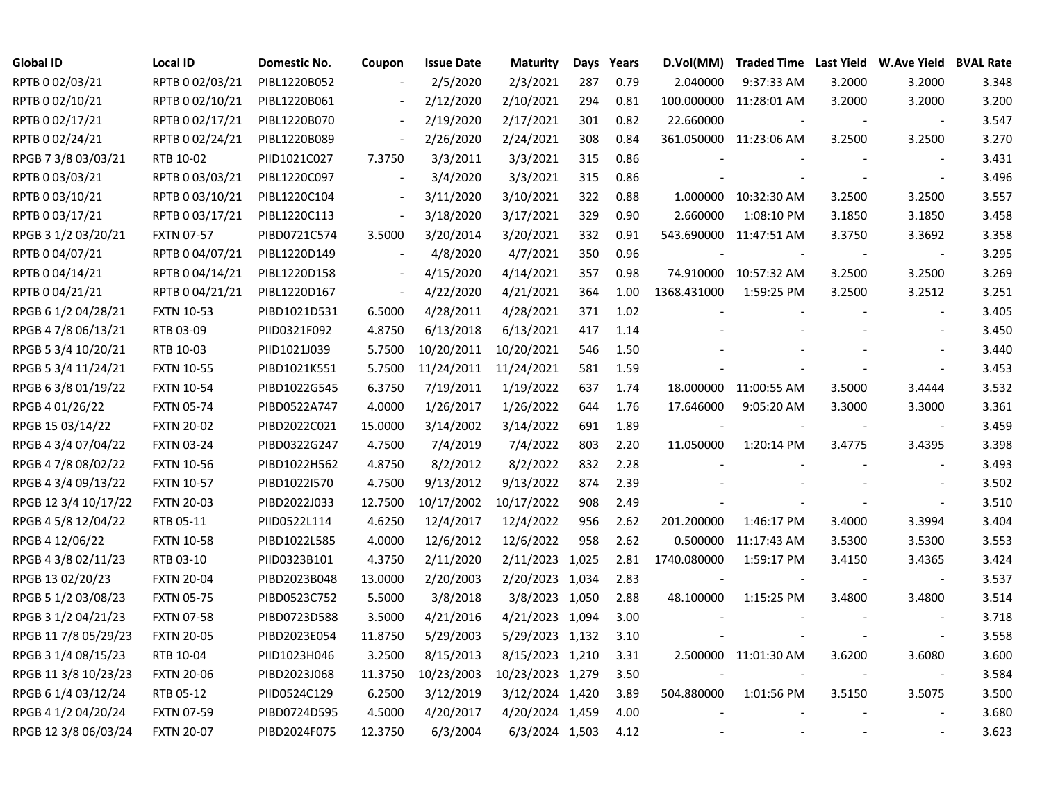| <b>Global ID</b>     | <b>Local ID</b>   | Domestic No. | Coupon                   | <b>Issue Date</b> | <b>Maturity</b>  | Days | Years | D.Vol(MM)   | Traded Time Last Yield W.Ave Yield BVAL Rate |        |        |       |
|----------------------|-------------------|--------------|--------------------------|-------------------|------------------|------|-------|-------------|----------------------------------------------|--------|--------|-------|
| RPTB 0 02/03/21      | RPTB 0 02/03/21   | PIBL1220B052 |                          | 2/5/2020          | 2/3/2021         | 287  | 0.79  | 2.040000    | 9:37:33 AM                                   | 3.2000 | 3.2000 | 3.348 |
| RPTB 0 02/10/21      | RPTB 0 02/10/21   | PIBL1220B061 |                          | 2/12/2020         | 2/10/2021        | 294  | 0.81  |             | 100.000000 11:28:01 AM                       | 3.2000 | 3.2000 | 3.200 |
| RPTB 0 02/17/21      | RPTB 0 02/17/21   | PIBL1220B070 | $\overline{\phantom{a}}$ | 2/19/2020         | 2/17/2021        | 301  | 0.82  | 22.660000   |                                              |        |        | 3.547 |
| RPTB 0 02/24/21      | RPTB 0 02/24/21   | PIBL1220B089 | $\overline{\phantom{a}}$ | 2/26/2020         | 2/24/2021        | 308  | 0.84  |             | 361.050000 11:23:06 AM                       | 3.2500 | 3.2500 | 3.270 |
| RPGB 7 3/8 03/03/21  | RTB 10-02         | PIID1021C027 | 7.3750                   | 3/3/2011          | 3/3/2021         | 315  | 0.86  |             |                                              |        |        | 3.431 |
| RPTB 0 03/03/21      | RPTB 0 03/03/21   | PIBL1220C097 | $\blacksquare$           | 3/4/2020          | 3/3/2021         | 315  | 0.86  |             |                                              |        |        | 3.496 |
| RPTB 0 03/10/21      | RPTB 0 03/10/21   | PIBL1220C104 | $\sim$                   | 3/11/2020         | 3/10/2021        | 322  | 0.88  |             | 1.000000 10:32:30 AM                         | 3.2500 | 3.2500 | 3.557 |
| RPTB 0 03/17/21      | RPTB 0 03/17/21   | PIBL1220C113 | $\sim$                   | 3/18/2020         | 3/17/2021        | 329  | 0.90  | 2.660000    | 1:08:10 PM                                   | 3.1850 | 3.1850 | 3.458 |
| RPGB 3 1/2 03/20/21  | <b>FXTN 07-57</b> | PIBD0721C574 | 3.5000                   | 3/20/2014         | 3/20/2021        | 332  | 0.91  |             | 543.690000 11:47:51 AM                       | 3.3750 | 3.3692 | 3.358 |
| RPTB 0 04/07/21      | RPTB 0 04/07/21   | PIBL1220D149 | $\overline{\phantom{a}}$ | 4/8/2020          | 4/7/2021         | 350  | 0.96  |             |                                              |        |        | 3.295 |
| RPTB 0 04/14/21      | RPTB 0 04/14/21   | PIBL1220D158 | $\overline{\phantom{a}}$ | 4/15/2020         | 4/14/2021        | 357  | 0.98  |             | 74.910000 10:57:32 AM                        | 3.2500 | 3.2500 | 3.269 |
| RPTB 0 04/21/21      | RPTB 0 04/21/21   | PIBL1220D167 | $\overline{\phantom{a}}$ | 4/22/2020         | 4/21/2021        | 364  | 1.00  | 1368.431000 | 1:59:25 PM                                   | 3.2500 | 3.2512 | 3.251 |
| RPGB 6 1/2 04/28/21  | <b>FXTN 10-53</b> | PIBD1021D531 | 6.5000                   | 4/28/2011         | 4/28/2021        | 371  | 1.02  |             |                                              |        |        | 3.405 |
| RPGB 4 7/8 06/13/21  | RTB 03-09         | PIID0321F092 | 4.8750                   | 6/13/2018         | 6/13/2021        | 417  | 1.14  |             |                                              |        |        | 3.450 |
| RPGB 5 3/4 10/20/21  | RTB 10-03         | PIID1021J039 | 5.7500                   | 10/20/2011        | 10/20/2021       | 546  | 1.50  |             |                                              |        |        | 3.440 |
| RPGB 5 3/4 11/24/21  | <b>FXTN 10-55</b> | PIBD1021K551 | 5.7500                   | 11/24/2011        | 11/24/2021       | 581  | 1.59  |             |                                              |        |        | 3.453 |
| RPGB 6 3/8 01/19/22  | <b>FXTN 10-54</b> | PIBD1022G545 | 6.3750                   | 7/19/2011         | 1/19/2022        | 637  | 1.74  |             | 18.000000 11:00:55 AM                        | 3.5000 | 3.4444 | 3.532 |
| RPGB 4 01/26/22      | <b>FXTN 05-74</b> | PIBD0522A747 | 4.0000                   | 1/26/2017         | 1/26/2022        | 644  | 1.76  | 17.646000   | 9:05:20 AM                                   | 3.3000 | 3.3000 | 3.361 |
| RPGB 15 03/14/22     | <b>FXTN 20-02</b> | PIBD2022C021 | 15.0000                  | 3/14/2002         | 3/14/2022        | 691  | 1.89  | $\sim$      |                                              |        |        | 3.459 |
| RPGB 4 3/4 07/04/22  | <b>FXTN 03-24</b> | PIBD0322G247 | 4.7500                   | 7/4/2019          | 7/4/2022         | 803  | 2.20  | 11.050000   | 1:20:14 PM                                   | 3.4775 | 3.4395 | 3.398 |
| RPGB 4 7/8 08/02/22  | <b>FXTN 10-56</b> | PIBD1022H562 | 4.8750                   | 8/2/2012          | 8/2/2022         | 832  | 2.28  |             |                                              |        |        | 3.493 |
| RPGB 4 3/4 09/13/22  | <b>FXTN 10-57</b> | PIBD1022I570 | 4.7500                   | 9/13/2012         | 9/13/2022        | 874  | 2.39  |             |                                              |        |        | 3.502 |
| RPGB 12 3/4 10/17/22 | <b>FXTN 20-03</b> | PIBD2022J033 | 12.7500                  | 10/17/2002        | 10/17/2022       | 908  | 2.49  |             |                                              |        |        | 3.510 |
| RPGB 4 5/8 12/04/22  | RTB 05-11         | PIID0522L114 | 4.6250                   | 12/4/2017         | 12/4/2022        | 956  | 2.62  | 201.200000  | 1:46:17 PM                                   | 3.4000 | 3.3994 | 3.404 |
| RPGB 4 12/06/22      | <b>FXTN 10-58</b> | PIBD1022L585 | 4.0000                   | 12/6/2012         | 12/6/2022        | 958  | 2.62  |             | 0.500000 11:17:43 AM                         | 3.5300 | 3.5300 | 3.553 |
| RPGB 4 3/8 02/11/23  | RTB 03-10         | PIID0323B101 | 4.3750                   | 2/11/2020         | 2/11/2023 1,025  |      | 2.81  | 1740.080000 | 1:59:17 PM                                   | 3.4150 | 3.4365 | 3.424 |
| RPGB 13 02/20/23     | <b>FXTN 20-04</b> | PIBD2023B048 | 13.0000                  | 2/20/2003         | 2/20/2023 1,034  |      | 2.83  |             |                                              |        |        | 3.537 |
| RPGB 5 1/2 03/08/23  | <b>FXTN 05-75</b> | PIBD0523C752 | 5.5000                   | 3/8/2018          | 3/8/2023 1,050   |      | 2.88  | 48.100000   | 1:15:25 PM                                   | 3.4800 | 3.4800 | 3.514 |
| RPGB 3 1/2 04/21/23  | <b>FXTN 07-58</b> | PIBD0723D588 | 3.5000                   | 4/21/2016         | 4/21/2023 1,094  |      | 3.00  |             |                                              |        |        | 3.718 |
| RPGB 11 7/8 05/29/23 | <b>FXTN 20-05</b> | PIBD2023E054 | 11.8750                  | 5/29/2003         | 5/29/2023 1,132  |      | 3.10  |             |                                              |        |        | 3.558 |
| RPGB 3 1/4 08/15/23  | RTB 10-04         | PIID1023H046 | 3.2500                   | 8/15/2013         | 8/15/2023 1,210  |      | 3.31  |             | 2.500000 11:01:30 AM                         | 3.6200 | 3.6080 | 3.600 |
| RPGB 11 3/8 10/23/23 | <b>FXTN 20-06</b> | PIBD2023J068 | 11.3750                  | 10/23/2003        | 10/23/2023 1,279 |      | 3.50  |             |                                              |        |        | 3.584 |
| RPGB 6 1/4 03/12/24  | RTB 05-12         | PIID0524C129 | 6.2500                   | 3/12/2019         | 3/12/2024 1,420  |      | 3.89  | 504.880000  | 1:01:56 PM                                   | 3.5150 | 3.5075 | 3.500 |
| RPGB 4 1/2 04/20/24  | <b>FXTN 07-59</b> | PIBD0724D595 | 4.5000                   | 4/20/2017         | 4/20/2024 1,459  |      | 4.00  |             |                                              |        |        | 3.680 |
| RPGB 12 3/8 06/03/24 | <b>FXTN 20-07</b> | PIBD2024F075 | 12.3750                  | 6/3/2004          | 6/3/2024 1,503   |      | 4.12  |             |                                              |        |        | 3.623 |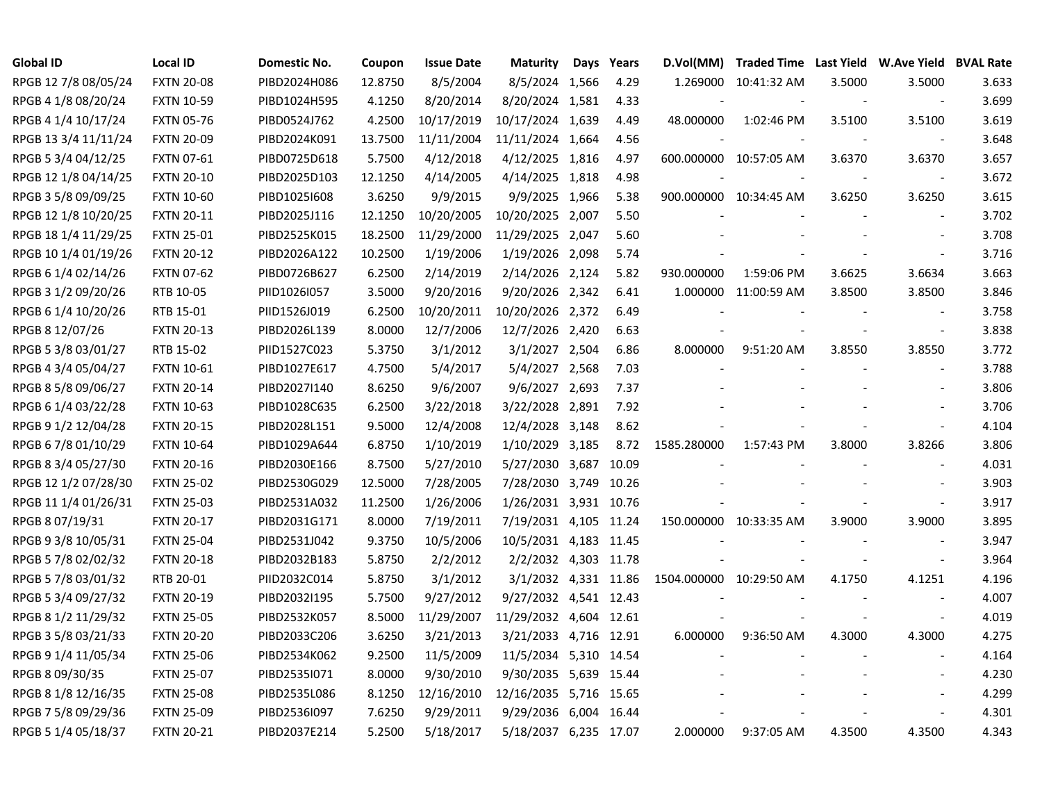| Global ID            | <b>Local ID</b>   | Domestic No. | Coupon  | <b>Issue Date</b> | <b>Maturity</b>        | Days | Years | D.Vol(MM)               |                        |        | Traded Time Last Yield W.Ave Yield BVAL Rate |       |
|----------------------|-------------------|--------------|---------|-------------------|------------------------|------|-------|-------------------------|------------------------|--------|----------------------------------------------|-------|
| RPGB 12 7/8 08/05/24 | <b>FXTN 20-08</b> | PIBD2024H086 | 12.8750 | 8/5/2004          | 8/5/2024 1,566         |      | 4.29  |                         | 1.269000 10:41:32 AM   | 3.5000 | 3.5000                                       | 3.633 |
| RPGB 4 1/8 08/20/24  | <b>FXTN 10-59</b> | PIBD1024H595 | 4.1250  | 8/20/2014         | 8/20/2024 1,581        |      | 4.33  |                         |                        |        | $\overline{\phantom{a}}$                     | 3.699 |
| RPGB 4 1/4 10/17/24  | <b>FXTN 05-76</b> | PIBD0524J762 | 4.2500  | 10/17/2019        | 10/17/2024 1,639       |      | 4.49  | 48.000000               | 1:02:46 PM             | 3.5100 | 3.5100                                       | 3.619 |
| RPGB 13 3/4 11/11/24 | <b>FXTN 20-09</b> | PIBD2024K091 | 13.7500 | 11/11/2004        | 11/11/2024 1,664       |      | 4.56  |                         |                        |        | $\overline{\phantom{a}}$                     | 3.648 |
| RPGB 5 3/4 04/12/25  | <b>FXTN 07-61</b> | PIBD0725D618 | 5.7500  | 4/12/2018         | 4/12/2025 1,816        |      | 4.97  |                         | 600.000000 10:57:05 AM | 3.6370 | 3.6370                                       | 3.657 |
| RPGB 12 1/8 04/14/25 | <b>FXTN 20-10</b> | PIBD2025D103 | 12.1250 | 4/14/2005         | 4/14/2025 1,818        |      | 4.98  |                         |                        |        | $\blacksquare$                               | 3.672 |
| RPGB 3 5/8 09/09/25  | <b>FXTN 10-60</b> | PIBD1025I608 | 3.6250  | 9/9/2015          | 9/9/2025 1,966         |      | 5.38  |                         | 900.000000 10:34:45 AM | 3.6250 | 3.6250                                       | 3.615 |
| RPGB 12 1/8 10/20/25 | <b>FXTN 20-11</b> | PIBD2025J116 | 12.1250 | 10/20/2005        | 10/20/2025 2,007       |      | 5.50  |                         |                        |        | $\overline{\phantom{a}}$                     | 3.702 |
| RPGB 18 1/4 11/29/25 | <b>FXTN 25-01</b> | PIBD2525K015 | 18.2500 | 11/29/2000        | 11/29/2025 2,047       |      | 5.60  |                         |                        |        | $\overline{\phantom{a}}$                     | 3.708 |
| RPGB 10 1/4 01/19/26 | <b>FXTN 20-12</b> | PIBD2026A122 | 10.2500 | 1/19/2006         | 1/19/2026 2,098        |      | 5.74  |                         |                        |        | $\overline{\phantom{a}}$                     | 3.716 |
| RPGB 6 1/4 02/14/26  | <b>FXTN 07-62</b> | PIBD0726B627 | 6.2500  | 2/14/2019         | 2/14/2026 2,124        |      | 5.82  | 930.000000              | 1:59:06 PM             | 3.6625 | 3.6634                                       | 3.663 |
| RPGB 3 1/2 09/20/26  | RTB 10-05         | PIID1026I057 | 3.5000  | 9/20/2016         | 9/20/2026 2,342        |      | 6.41  |                         | 1.000000 11:00:59 AM   | 3.8500 | 3.8500                                       | 3.846 |
| RPGB 6 1/4 10/20/26  | RTB 15-01         | PIID1526J019 | 6.2500  | 10/20/2011        | 10/20/2026 2,372       |      | 6.49  |                         |                        |        | $\sim$                                       | 3.758 |
| RPGB 8 12/07/26      | <b>FXTN 20-13</b> | PIBD2026L139 | 8.0000  | 12/7/2006         | 12/7/2026 2,420        |      | 6.63  |                         |                        |        | $\sim$                                       | 3.838 |
| RPGB 5 3/8 03/01/27  | RTB 15-02         | PIID1527C023 | 5.3750  | 3/1/2012          | 3/1/2027 2,504         |      | 6.86  | 8.000000                | 9:51:20 AM             | 3.8550 | 3.8550                                       | 3.772 |
| RPGB 4 3/4 05/04/27  | <b>FXTN 10-61</b> | PIBD1027E617 | 4.7500  | 5/4/2017          | 5/4/2027 2,568         |      | 7.03  |                         |                        |        |                                              | 3.788 |
| RPGB 8 5/8 09/06/27  | <b>FXTN 20-14</b> | PIBD2027I140 | 8.6250  | 9/6/2007          | 9/6/2027 2,693         |      | 7.37  |                         |                        |        |                                              | 3.806 |
| RPGB 6 1/4 03/22/28  | <b>FXTN 10-63</b> | PIBD1028C635 | 6.2500  | 3/22/2018         | 3/22/2028 2,891        |      | 7.92  |                         |                        |        |                                              | 3.706 |
| RPGB 9 1/2 12/04/28  | <b>FXTN 20-15</b> | PIBD2028L151 | 9.5000  | 12/4/2008         | 12/4/2028 3,148        |      | 8.62  |                         |                        |        | $\overline{\phantom{a}}$                     | 4.104 |
| RPGB 6 7/8 01/10/29  | <b>FXTN 10-64</b> | PIBD1029A644 | 6.8750  | 1/10/2019         | 1/10/2029 3,185        |      | 8.72  | 1585.280000             | 1:57:43 PM             | 3.8000 | 3.8266                                       | 3.806 |
| RPGB 8 3/4 05/27/30  | <b>FXTN 20-16</b> | PIBD2030E166 | 8.7500  | 5/27/2010         | 5/27/2030 3,687        |      | 10.09 |                         |                        |        |                                              | 4.031 |
| RPGB 12 1/2 07/28/30 | <b>FXTN 25-02</b> | PIBD2530G029 | 12.5000 | 7/28/2005         | 7/28/2030 3,749 10.26  |      |       |                         |                        |        |                                              | 3.903 |
| RPGB 11 1/4 01/26/31 | <b>FXTN 25-03</b> | PIBD2531A032 | 11.2500 | 1/26/2006         | 1/26/2031 3,931 10.76  |      |       |                         |                        |        | $\overline{\phantom{a}}$                     | 3.917 |
| RPGB 8 07/19/31      | <b>FXTN 20-17</b> | PIBD2031G171 | 8.0000  | 7/19/2011         | 7/19/2031 4,105 11.24  |      |       |                         | 150.000000 10:33:35 AM | 3.9000 | 3.9000                                       | 3.895 |
| RPGB 9 3/8 10/05/31  | <b>FXTN 25-04</b> | PIBD2531J042 | 9.3750  | 10/5/2006         | 10/5/2031 4,183 11.45  |      |       |                         |                        |        | $\blacksquare$                               | 3.947 |
| RPGB 5 7/8 02/02/32  | <b>FXTN 20-18</b> | PIBD2032B183 | 5.8750  | 2/2/2012          | 2/2/2032 4,303 11.78   |      |       |                         |                        |        | $\overline{\phantom{a}}$                     | 3.964 |
| RPGB 5 7/8 03/01/32  | RTB 20-01         | PIID2032C014 | 5.8750  | 3/1/2012          | 3/1/2032 4,331 11.86   |      |       | 1504.000000 10:29:50 AM |                        | 4.1750 | 4.1251                                       | 4.196 |
| RPGB 5 3/4 09/27/32  | <b>FXTN 20-19</b> | PIBD2032I195 | 5.7500  | 9/27/2012         | 9/27/2032 4,541 12.43  |      |       |                         |                        |        |                                              | 4.007 |
| RPGB 8 1/2 11/29/32  | <b>FXTN 25-05</b> | PIBD2532K057 | 8.5000  | 11/29/2007        | 11/29/2032 4,604 12.61 |      |       |                         |                        |        | $\sim$                                       | 4.019 |
| RPGB 3 5/8 03/21/33  | <b>FXTN 20-20</b> | PIBD2033C206 | 3.6250  | 3/21/2013         | 3/21/2033 4,716 12.91  |      |       | 6.000000                | 9:36:50 AM             | 4.3000 | 4.3000                                       | 4.275 |
| RPGB 9 1/4 11/05/34  | <b>FXTN 25-06</b> | PIBD2534K062 | 9.2500  | 11/5/2009         | 11/5/2034 5,310 14.54  |      |       |                         |                        |        | $\sim$                                       | 4.164 |
| RPGB 8 09/30/35      | <b>FXTN 25-07</b> | PIBD2535I071 | 8.0000  | 9/30/2010         | 9/30/2035 5,639 15.44  |      |       |                         |                        |        | $\blacksquare$                               | 4.230 |
| RPGB 8 1/8 12/16/35  | <b>FXTN 25-08</b> | PIBD2535L086 | 8.1250  | 12/16/2010        | 12/16/2035 5,716 15.65 |      |       |                         |                        |        |                                              | 4.299 |
| RPGB 7 5/8 09/29/36  | <b>FXTN 25-09</b> | PIBD2536I097 | 7.6250  | 9/29/2011         | 9/29/2036 6,004 16.44  |      |       |                         |                        |        | $\overline{\phantom{a}}$                     | 4.301 |
| RPGB 5 1/4 05/18/37  | <b>FXTN 20-21</b> | PIBD2037E214 | 5.2500  | 5/18/2017         | 5/18/2037 6,235 17.07  |      |       | 2.000000                | 9:37:05 AM             | 4.3500 | 4.3500                                       | 4.343 |